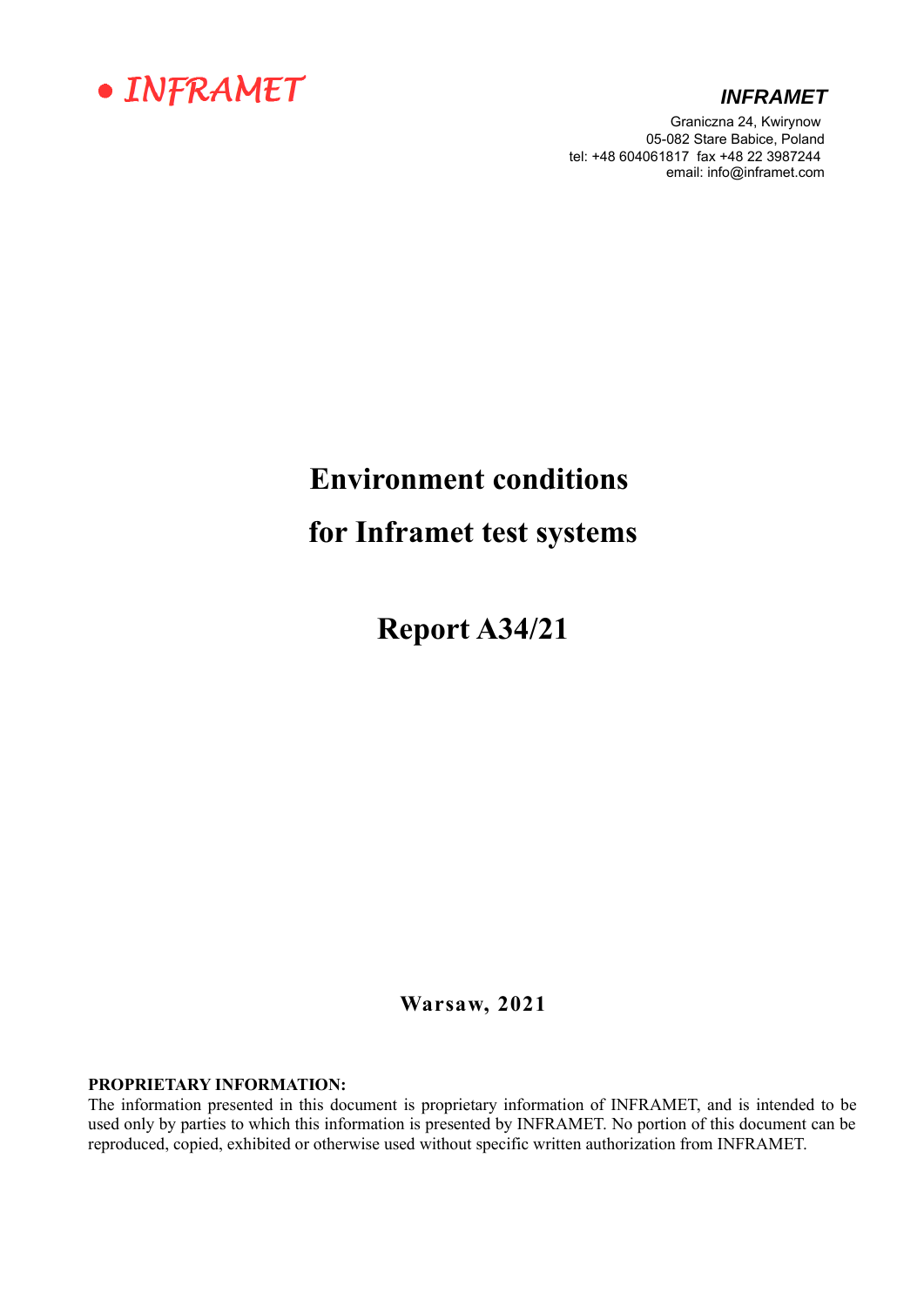

#### *INFRAMET*

Graniczna 24, Kwirynow 05-082 Stare Babice, Poland tel: +48 604061817 fax +48 22 3987244 email: info@inframet.com

# **Environment conditions**

**for Inframet test systems**

**Report A34/21**

**Warsaw, 2021**

#### **PROPRIETARY INFORMATION:**

The information presented in this document is proprietary information of INFRAMET, and is intended to be used only by parties to which this information is presented by INFRAMET. No portion of this document can be reproduced, copied, exhibited or otherwise used without specific written authorization from INFRAMET.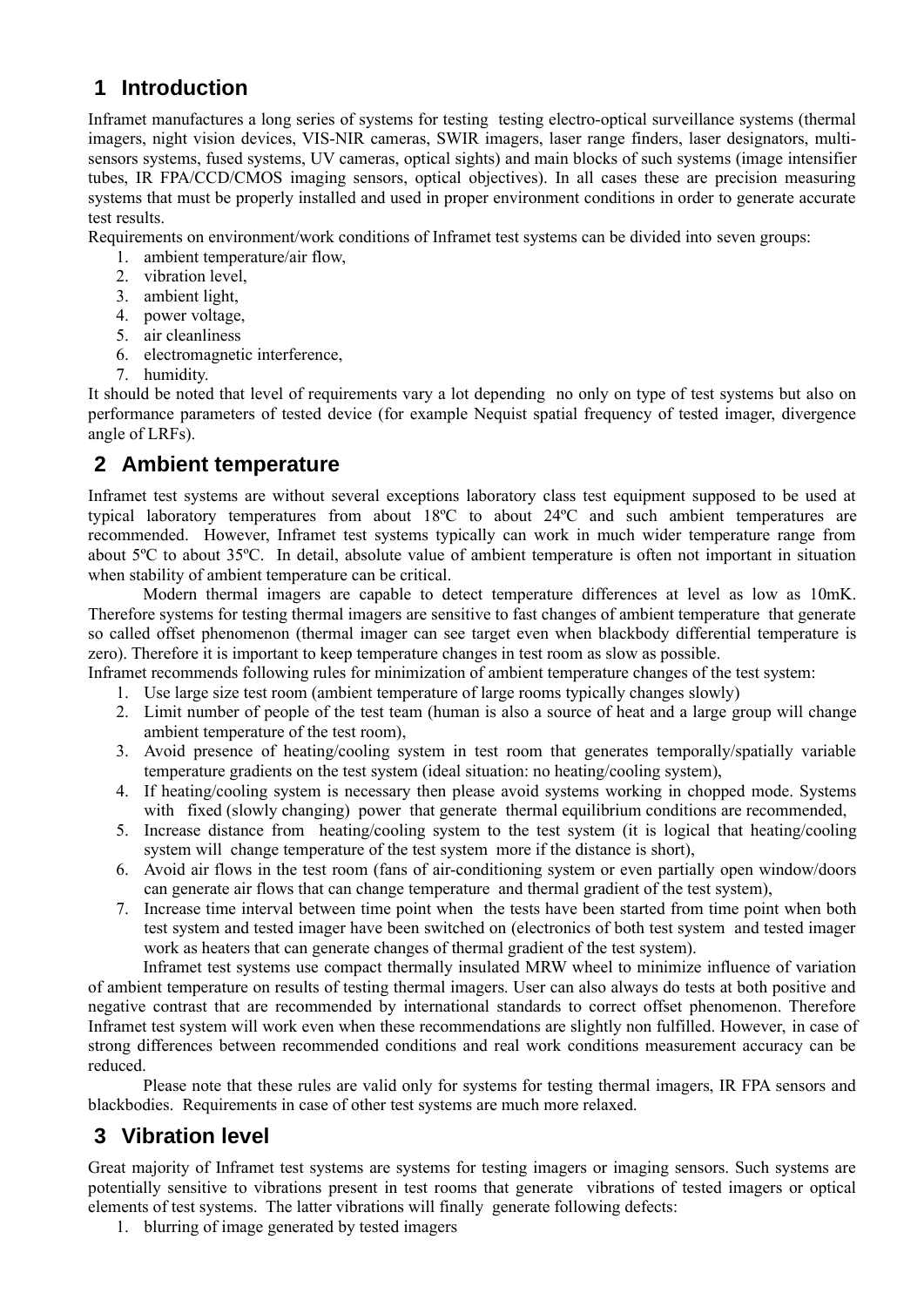# **1 Introduction**

Inframet manufactures a long series of systems for testing testing electro-optical surveillance systems (thermal imagers, night vision devices, VIS-NIR cameras, SWIR imagers, laser range finders, laser designators, multisensors systems, fused systems, UV cameras, optical sights) and main blocks of such systems (image intensifier tubes, IR FPA/CCD/CMOS imaging sensors, optical objectives). In all cases these are precision measuring systems that must be properly installed and used in proper environment conditions in order to generate accurate test results.

Requirements on environment/work conditions of Inframet test systems can be divided into seven groups:

- 1. ambient temperature/air flow,
- 2. vibration level,
- 3. ambient light,
- 4. power voltage,
- 5. air cleanliness
- 6. electromagnetic interference,
- 7. humidity.

It should be noted that level of requirements vary a lot depending no only on type of test systems but also on performance parameters of tested device (for example Nequist spatial frequency of tested imager, divergence angle of LRFs).

## **2 Ambient temperature**

Inframet test systems are without several exceptions laboratory class test equipment supposed to be used at typical laboratory temperatures from about 18ºC to about 24ºC and such ambient temperatures are recommended. However, Inframet test systems typically can work in much wider temperature range from about 5ºC to about 35ºC. In detail, absolute value of ambient temperature is often not important in situation when stability of ambient temperature can be critical.

Modern thermal imagers are capable to detect temperature differences at level as low as 10mK. Therefore systems for testing thermal imagers are sensitive to fast changes of ambient temperature that generate so called offset phenomenon (thermal imager can see target even when blackbody differential temperature is zero). Therefore it is important to keep temperature changes in test room as slow as possible.

Inframet recommends following rules for minimization of ambient temperature changes of the test system:

- 1. Use large size test room (ambient temperature of large rooms typically changes slowly)
- 2. Limit number of people of the test team (human is also a source of heat and a large group will change ambient temperature of the test room),
- 3. Avoid presence of heating/cooling system in test room that generates temporally/spatially variable temperature gradients on the test system (ideal situation: no heating/cooling system),
- 4. If heating/cooling system is necessary then please avoid systems working in chopped mode. Systems with fixed (slowly changing) power that generate thermal equilibrium conditions are recommended,
- 5. Increase distance from heating/cooling system to the test system (it is logical that heating/cooling system will change temperature of the test system more if the distance is short),
- 6. Avoid air flows in the test room (fans of air-conditioning system or even partially open window/doors can generate air flows that can change temperature and thermal gradient of the test system),
- 7. Increase time interval between time point when the tests have been started from time point when both test system and tested imager have been switched on (electronics of both test system and tested imager work as heaters that can generate changes of thermal gradient of the test system).

Inframet test systems use compact thermally insulated MRW wheel to minimize influence of variation of ambient temperature on results of testing thermal imagers. User can also always do tests at both positive and negative contrast that are recommended by international standards to correct offset phenomenon. Therefore Inframet test system will work even when these recommendations are slightly non fulfilled. However, in case of strong differences between recommended conditions and real work conditions measurement accuracy can be reduced.

Please note that these rules are valid only for systems for testing thermal imagers, IR FPA sensors and blackbodies. Requirements in case of other test systems are much more relaxed.

# **3 Vibration level**

Great majority of Inframet test systems are systems for testing imagers or imaging sensors. Such systems are potentially sensitive to vibrations present in test rooms that generate vibrations of tested imagers or optical elements of test systems. The latter vibrations will finally generate following defects:

1. blurring of image generated by tested imagers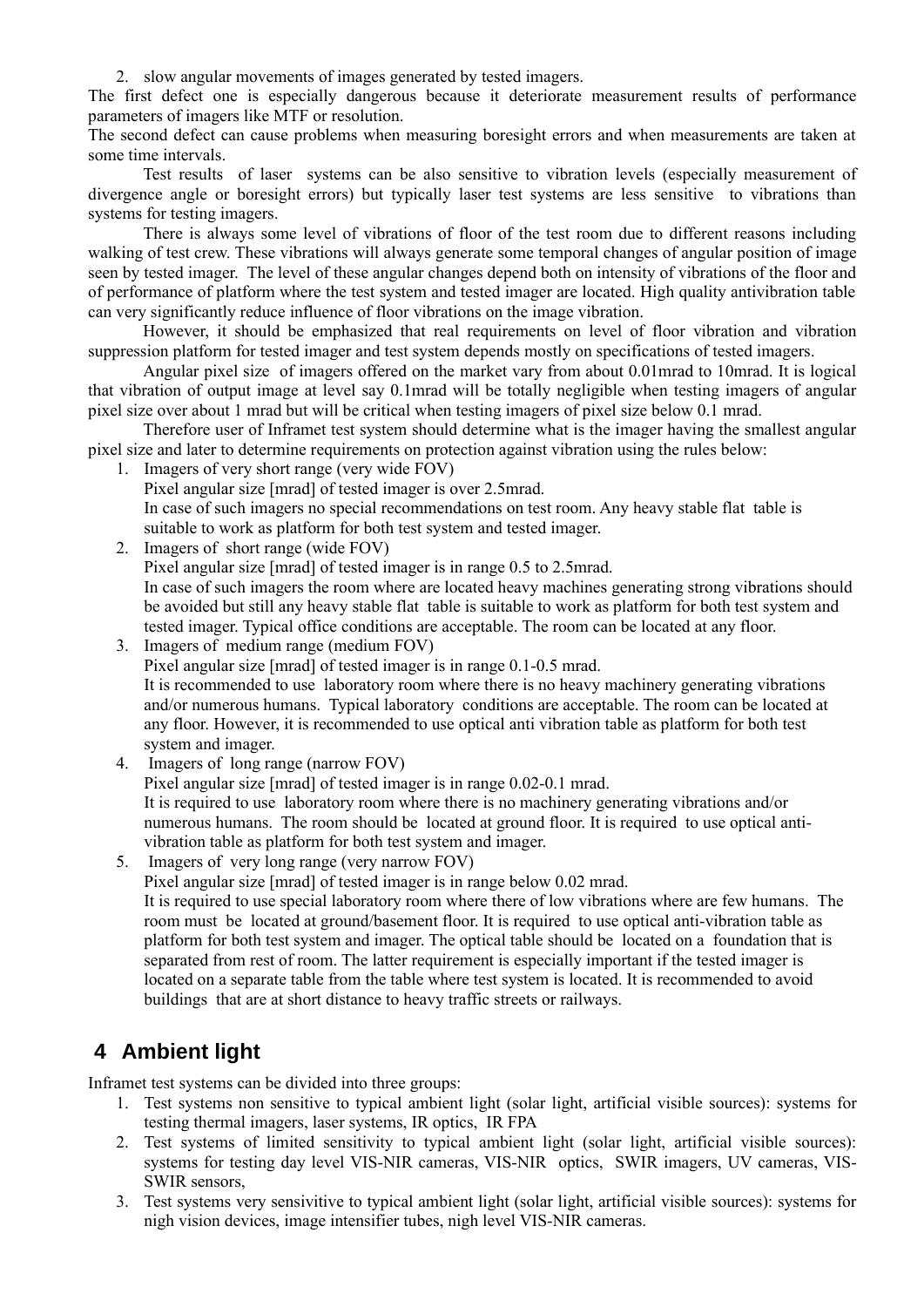2. slow angular movements of images generated by tested imagers.

The first defect one is especially dangerous because it deteriorate measurement results of performance parameters of imagers like MTF or resolution.

The second defect can cause problems when measuring boresight errors and when measurements are taken at some time intervals.

Test results of laser systems can be also sensitive to vibration levels (especially measurement of divergence angle or boresight errors) but typically laser test systems are less sensitive to vibrations than systems for testing imagers.

There is always some level of vibrations of floor of the test room due to different reasons including walking of test crew. These vibrations will always generate some temporal changes of angular position of image seen by tested imager. The level of these angular changes depend both on intensity of vibrations of the floor and of performance of platform where the test system and tested imager are located. High quality antivibration table can very significantly reduce influence of floor vibrations on the image vibration.

However, it should be emphasized that real requirements on level of floor vibration and vibration suppression platform for tested imager and test system depends mostly on specifications of tested imagers.

Angular pixel size of imagers offered on the market vary from about 0.01mrad to 10mrad. It is logical that vibration of output image at level say 0.1mrad will be totally negligible when testing imagers of angular pixel size over about 1 mrad but will be critical when testing imagers of pixel size below 0.1 mrad.

Therefore user of Inframet test system should determine what is the imager having the smallest angular pixel size and later to determine requirements on protection against vibration using the rules below:

- 1. Imagers of very short range (very wide FOV)
	- Pixel angular size [mrad] of tested imager is over 2.5mrad.

In case of such imagers no special recommendations on test room. Any heavy stable flat table is suitable to work as platform for both test system and tested imager.

- 2. Imagers of short range (wide FOV) Pixel angular size [mrad] of tested imager is in range 0.5 to 2.5mrad. In case of such imagers the room where are located heavy machines generating strong vibrations should be avoided but still any heavy stable flat table is suitable to work as platform for both test system and tested imager. Typical office conditions are acceptable. The room can be located at any floor.
- 3. Imagers of medium range (medium FOV) Pixel angular size [mrad] of tested imager is in range 0.1-0.5 mrad. It is recommended to use laboratory room where there is no heavy machinery generating vibrations and/or numerous humans. Typical laboratory conditions are acceptable. The room can be located at any floor. However, it is recommended to use optical anti vibration table as platform for both test system and imager.
- 4. Imagers of long range (narrow FOV)

Pixel angular size [mrad] of tested imager is in range 0.02-0.1 mrad.

It is required to use laboratory room where there is no machinery generating vibrations and/or numerous humans. The room should be located at ground floor. It is required to use optical antivibration table as platform for both test system and imager.

5. Imagers of very long range (very narrow FOV)

Pixel angular size [mrad] of tested imager is in range below 0.02 mrad.

It is required to use special laboratory room where there of low vibrations where are few humans. The room must be located at ground/basement floor. It is required to use optical anti-vibration table as platform for both test system and imager. The optical table should be located on a foundation that is separated from rest of room. The latter requirement is especially important if the tested imager is located on a separate table from the table where test system is located. It is recommended to avoid buildings that are at short distance to heavy traffic streets or railways.

### **4 Ambient light**

Inframet test systems can be divided into three groups:

- 1. Test systems non sensitive to typical ambient light (solar light, artificial visible sources): systems for testing thermal imagers, laser systems, IR optics, IR FPA
- 2. Test systems of limited sensitivity to typical ambient light (solar light, artificial visible sources): systems for testing day level VIS-NIR cameras, VIS-NIR optics, SWIR imagers, UV cameras, VIS-SWIR sensors,
- 3. Test systems very sensivitive to typical ambient light (solar light, artificial visible sources): systems for nigh vision devices, image intensifier tubes, nigh level VIS-NIR cameras.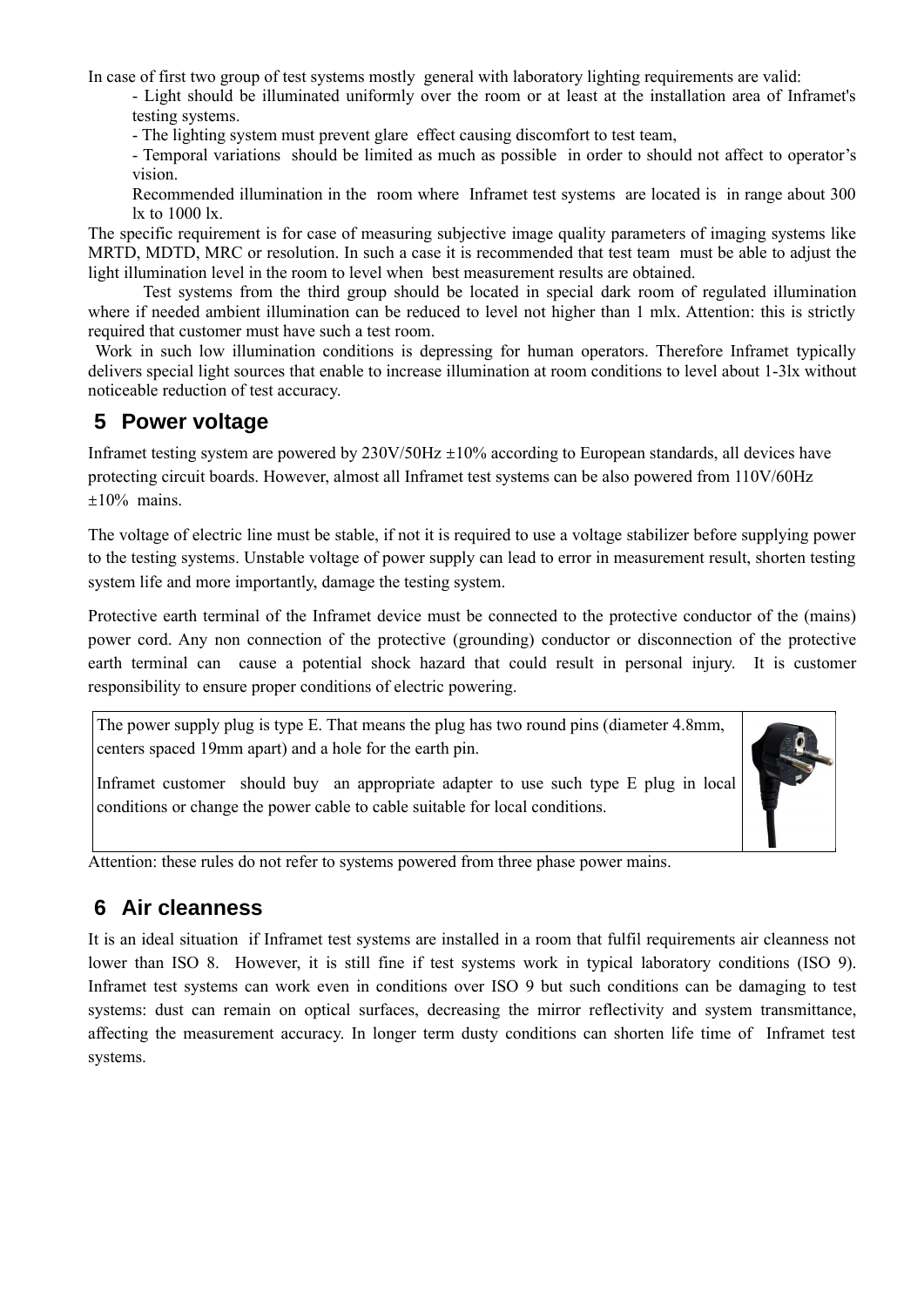In case of first two group of test systems mostly general with laboratory lighting requirements are valid:

- Light should be illuminated uniformly over the room or at least at the installation area of Inframet's testing systems.

- The lighting system must prevent glare effect causing discomfort to test team,

- Temporal variations should be limited as much as possible in order to should not affect to operator's vision.

Recommended illumination in the room where Inframet test systems are located is in range about 300 lx to 1000 lx.

The specific requirement is for case of measuring subjective image quality parameters of imaging systems like MRTD, MDTD, MRC or resolution. In such a case it is recommended that test team must be able to adjust the light illumination level in the room to level when best measurement results are obtained.

Test systems from the third group should be located in special dark room of regulated illumination where if needed ambient illumination can be reduced to level not higher than 1 mlx. Attention: this is strictly required that customer must have such a test room.

 Work in such low illumination conditions is depressing for human operators. Therefore Inframet typically delivers special light sources that enable to increase illumination at room conditions to level about 1-3lx without noticeable reduction of test accuracy.

#### **5 Power voltage**

Inframet testing system are powered by  $230V/50Hz \pm 10%$  according to European standards, all devices have protecting circuit boards. However, almost all Inframet test systems can be also powered from 110V/60Hz  $±10%$  mains.

The voltage of electric line must be stable, if not it is required to use a voltage stabilizer before supplying power to the testing systems. Unstable voltage of power supply can lead to error in measurement result, shorten testing system life and more importantly, damage the testing system.

Protective earth terminal of the Inframet device must be connected to the protective conductor of the (mains) power cord. Any non connection of the protective (grounding) conductor or disconnection of the protective earth terminal can cause a potential shock hazard that could result in personal injury. It is customer responsibility to ensure proper conditions of electric powering.

The power supply plug is type E. That means the plug has two round pins (diameter 4.8mm, centers spaced 19mm apart) and a hole for the earth pin.

Inframet customer should buy an appropriate adapter to use such type E plug in local conditions or change the power cable to cable suitable for local conditions.



### **6 Air cleanness**

It is an ideal situation if Inframet test systems are installed in a room that fulfil requirements air cleanness not lower than ISO 8. However, it is still fine if test systems work in typical laboratory conditions (ISO 9). Inframet test systems can work even in conditions over ISO 9 but such conditions can be damaging to test systems: dust can remain on optical surfaces, decreasing the mirror reflectivity and system transmittance, affecting the measurement accuracy. In longer term dusty conditions can shorten life time of Inframet test systems.